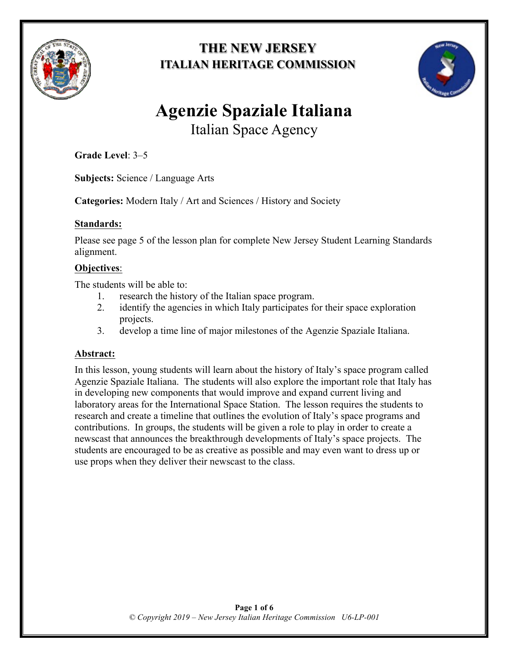

# **THE NEW JERSEY ITALIAN HERITAGE COMMISSION**



# **Agenzie Spaziale Italiana**

Italian Space Agency

**Grade Level**: 3–5

**Subjects:** Science / Language Arts

**Categories:** Modern Italy / Art and Sciences / History and Society

## **Standards:**

Please see page 5 of the lesson plan for complete New Jersey Student Learning Standards alignment.

## **Objectives**:

The students will be able to:

- 1. research the history of the Italian space program.
- 2. identify the agencies in which Italy participates for their space exploration projects.
- 3. develop a time line of major milestones of the Agenzie Spaziale Italiana.

## **Abstract:**

In this lesson, young students will learn about the history of Italy's space program called Agenzie Spaziale Italiana. The students will also explore the important role that Italy has in developing new components that would improve and expand current living and laboratory areas for the International Space Station. The lesson requires the students to research and create a timeline that outlines the evolution of Italy's space programs and contributions. In groups, the students will be given a role to play in order to create a newscast that announces the breakthrough developments of Italy's space projects. The students are encouraged to be as creative as possible and may even want to dress up or use props when they deliver their newscast to the class.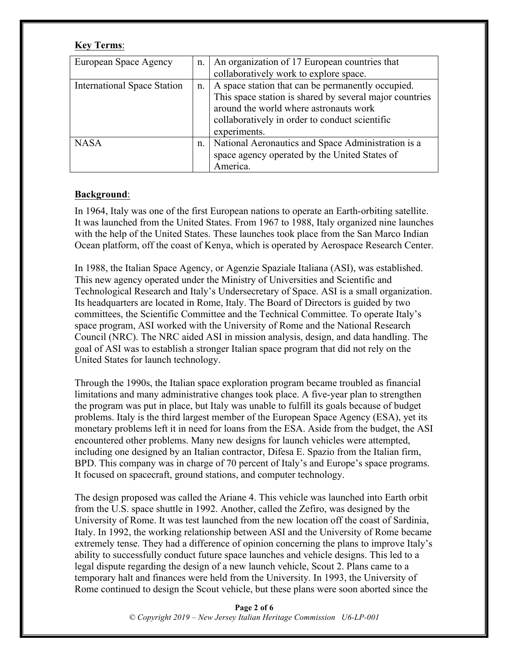#### **Key Terms**:

| European Space Agency              | n. | An organization of 17 European countries that<br>collaboratively work to explore space.                                                                                                                                  |
|------------------------------------|----|--------------------------------------------------------------------------------------------------------------------------------------------------------------------------------------------------------------------------|
| <b>International Space Station</b> | n. | A space station that can be permanently occupied.<br>This space station is shared by several major countries<br>around the world where astronauts work<br>collaboratively in order to conduct scientific<br>experiments. |
| <b>NASA</b>                        | n. | National Aeronautics and Space Administration is a<br>space agency operated by the United States of<br>America.                                                                                                          |

#### **Background**:

In 1964, Italy was one of the first European nations to operate an Earth-orbiting satellite. It was launched from the United States. From 1967 to 1988, Italy organized nine launches with the help of the United States. These launches took place from the San Marco Indian Ocean platform, off the coast of Kenya, which is operated by Aerospace Research Center.

In 1988, the Italian Space Agency, or Agenzie Spaziale Italiana (ASI), was established. This new agency operated under the Ministry of Universities and Scientific and Technological Research and Italy's Undersecretary of Space. ASI is a small organization. Its headquarters are located in Rome, Italy. The Board of Directors is guided by two committees, the Scientific Committee and the Technical Committee. To operate Italy's space program, ASI worked with the University of Rome and the National Research Council (NRC). The NRC aided ASI in mission analysis, design, and data handling. The goal of ASI was to establish a stronger Italian space program that did not rely on the United States for launch technology.

Through the 1990s, the Italian space exploration program became troubled as financial limitations and many administrative changes took place. A five-year plan to strengthen the program was put in place, but Italy was unable to fulfill its goals because of budget problems. Italy is the third largest member of the European Space Agency (ESA), yet its monetary problems left it in need for loans from the ESA. Aside from the budget, the ASI encountered other problems. Many new designs for launch vehicles were attempted, including one designed by an Italian contractor, Difesa E. Spazio from the Italian firm, BPD. This company was in charge of 70 percent of Italy's and Europe's space programs. It focused on spacecraft, ground stations, and computer technology.

The design proposed was called the Ariane 4. This vehicle was launched into Earth orbit from the U.S. space shuttle in 1992. Another, called the Zefiro, was designed by the University of Rome. It was test launched from the new location off the coast of Sardinia, Italy. In 1992, the working relationship between ASI and the University of Rome became extremely tense. They had a difference of opinion concerning the plans to improve Italy's ability to successfully conduct future space launches and vehicle designs. This led to a legal dispute regarding the design of a new launch vehicle, Scout 2. Plans came to a temporary halt and finances were held from the University. In 1993, the University of Rome continued to design the Scout vehicle, but these plans were soon aborted since the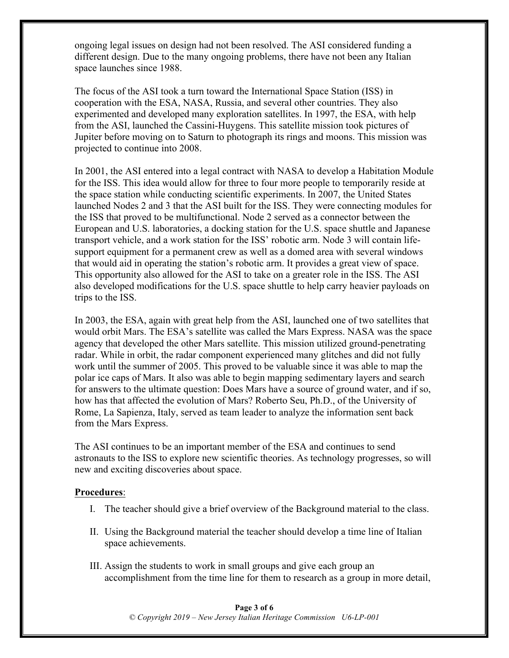ongoing legal issues on design had not been resolved. The ASI considered funding a different design. Due to the many ongoing problems, there have not been any Italian space launches since 1988.

The focus of the ASI took a turn toward the International Space Station (ISS) in cooperation with the ESA, NASA, Russia, and several other countries. They also experimented and developed many exploration satellites. In 1997, the ESA, with help from the ASI, launched the Cassini-Huygens. This satellite mission took pictures of Jupiter before moving on to Saturn to photograph its rings and moons. This mission was projected to continue into 2008.

In 2001, the ASI entered into a legal contract with NASA to develop a Habitation Module for the ISS. This idea would allow for three to four more people to temporarily reside at the space station while conducting scientific experiments. In 2007, the United States launched Nodes 2 and 3 that the ASI built for the ISS. They were connecting modules for the ISS that proved to be multifunctional. Node 2 served as a connector between the European and U.S. laboratories, a docking station for the U.S. space shuttle and Japanese transport vehicle, and a work station for the ISS' robotic arm. Node 3 will contain lifesupport equipment for a permanent crew as well as a domed area with several windows that would aid in operating the station's robotic arm. It provides a great view of space. This opportunity also allowed for the ASI to take on a greater role in the ISS. The ASI also developed modifications for the U.S. space shuttle to help carry heavier payloads on trips to the ISS.

In 2003, the ESA, again with great help from the ASI, launched one of two satellites that would orbit Mars. The ESA's satellite was called the Mars Express. NASA was the space agency that developed the other Mars satellite. This mission utilized ground-penetrating radar. While in orbit, the radar component experienced many glitches and did not fully work until the summer of 2005. This proved to be valuable since it was able to map the polar ice caps of Mars. It also was able to begin mapping sedimentary layers and search for answers to the ultimate question: Does Mars have a source of ground water, and if so, how has that affected the evolution of Mars? Roberto Seu, Ph.D., of the University of Rome, La Sapienza, Italy, served as team leader to analyze the information sent back from the Mars Express.

The ASI continues to be an important member of the ESA and continues to send astronauts to the ISS to explore new scientific theories. As technology progresses, so will new and exciting discoveries about space.

#### **Procedures**:

- I. The teacher should give a brief overview of the Background material to the class.
- II. Using the Background material the teacher should develop a time line of Italian space achievements.
- III. Assign the students to work in small groups and give each group an accomplishment from the time line for them to research as a group in more detail,

**Page 3 of 6** *© Copyright 2019 – New Jersey Italian Heritage Commission U6-LP-001*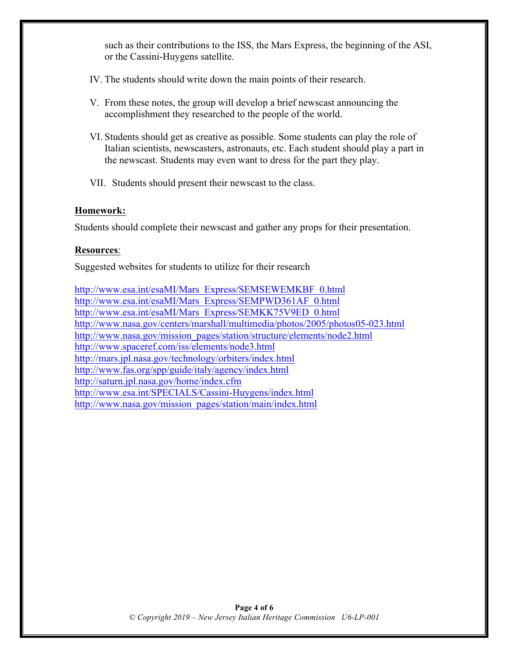such as their contributions to the ISS, the Mars Express, the beginning of the ASI, or the Cassini-Huygens satellite.

- IV. The students should write down the main points of their research.
- V. From these notes, the group will develop a brief newscast announcing the accomplishment they researched to the people of the world.
- VI. Students should get as creative as possible. Some students can play the role of Italian scientists, newscasters, astronauts, etc. Each student should play a part in the newscast. Students may even want to dress for the part they play.
- VII. Students should present their newscast to the class.

#### **Homework:**

Students should complete their newscast and gather any props for their presentation.

#### **Resources**:

Suggested websites for students to utilize for their research

http://www.esa.int/esaMI/Mars\_Express/SEMSEWEMKBF\_0.html http://www.esa.int/esaMI/Mars\_Express/SEMPWD361AF\_0.html http://www.esa.int/esaMI/Mars\_Express/SEMKK75V9ED\_0.html http://www.nasa.gov/centers/marshall/multimedia/photos/2005/photos05-023.html http://www.nasa.gov/mission\_pages/station/structure/elements/node2.html http://www.spaceref.com/iss/elements/node3.html http://mars.jpl.nasa.gov/technology/orbiters/index.html http://www.fas.org/spp/guide/italy/agency/index.html http://saturn.jpl.nasa.gov/home/index.cfm http://www.esa.int/SPECIALS/Cassini-Huygens/index.html http://www.nasa.gov/mission\_pages/station/main/index.html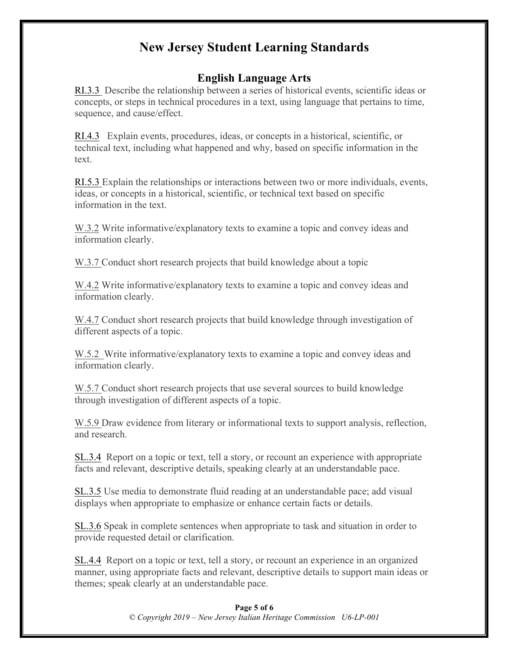## **New Jersey Student Learning Standards**

## **English Language Arts**

RI.3.3 Describe the relationship between a series of historical events, scientific ideas or concepts, or steps in technical procedures in a text, using language that pertains to time, sequence, and cause/effect.

RI.4.3 Explain events, procedures, ideas, or concepts in a historical, scientific, or technical text, including what happened and why, based on specific information in the text.

RI.5.3 Explain the relationships or interactions between two or more individuals, events, ideas, or concepts in a historical, scientific, or technical text based on specific information in the text.

W.3.2 Write informative/explanatory texts to examine a topic and convey ideas and information clearly.

W.3.7 Conduct short research projects that build knowledge about a topic

W.4.2 Write informative/explanatory texts to examine a topic and convey ideas and information clearly.

W.4.7 Conduct short research projects that build knowledge through investigation of different aspects of a topic.

W.5.2 Write informative/explanatory texts to examine a topic and convey ideas and information clearly.

W.5.7 Conduct short research projects that use several sources to build knowledge through investigation of different aspects of a topic.

W.5.9 Draw evidence from literary or informational texts to support analysis, reflection, and research.

SL.3.4 Report on a topic or text, tell a story, or recount an experience with appropriate facts and relevant, descriptive details, speaking clearly at an understandable pace.

SL.3.5 Use media to demonstrate fluid reading at an understandable pace; add visual displays when appropriate to emphasize or enhance certain facts or details.

SL.3.6 Speak in complete sentences when appropriate to task and situation in order to provide requested detail or clarification.

SL.4.4 Report on a topic or text, tell a story, or recount an experience in an organized manner, using appropriate facts and relevant, descriptive details to support main ideas or themes; speak clearly at an understandable pace.

#### **Page 5 of 6** *© Copyright 2019 – New Jersey Italian Heritage Commission U6-LP-001*